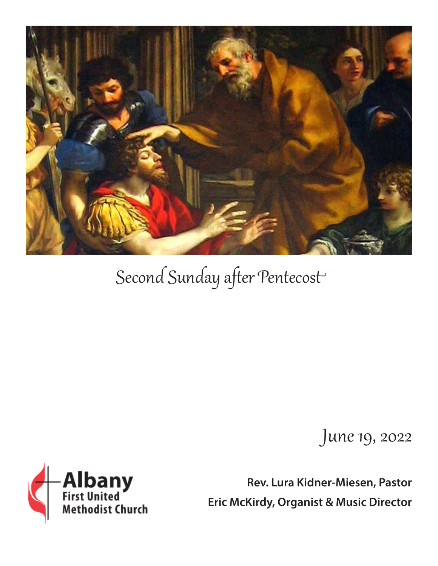

# Second Sunday after Pentecost

June 19, 2022

**Rev. Lura Kidner-Miesen, Pastor Eric McKirdy, Organist & Music Director**

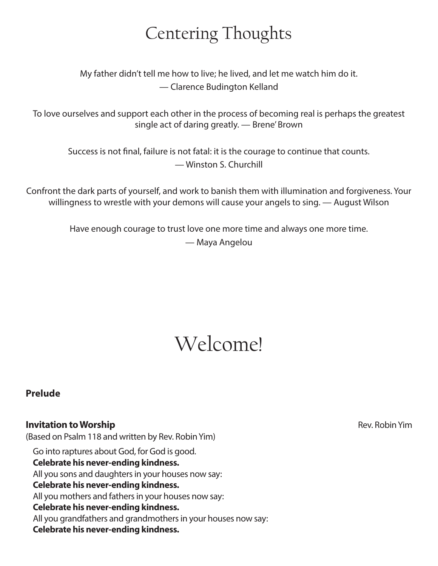### Centering Thoughts

My father didn't tell me how to live; he lived, and let me watch him do it. — Clarence Budington Kelland

To love ourselves and support each other in the process of becoming real is perhaps the greatest single act of daring greatly. — Brene' Brown

Success is not final, failure is not fatal: it is the courage to continue that counts. — Winston S. Churchill

Confront the dark parts of yourself, and work to banish them with illumination and forgiveness. Your willingness to wrestle with your demons will cause your angels to sing. — August Wilson

> Have enough courage to trust love one more time and always one more time. — Maya Angelou

## Welcome!

#### **Prelude**

#### **Invitation to Worship Invitation to Worship Rev. Robin Yim**

(Based on Psalm 118 and written by Rev. Robin Yim) Go into raptures about God, for God is good. **Celebrate his never-ending kindness.** All you sons and daughters in your houses now say: **Celebrate his never-ending kindness.** All you mothers and fathers in your houses now say: **Celebrate his never-ending kindness.** All you grandfathers and grandmothers in your houses now say: **Celebrate his never-ending kindness.**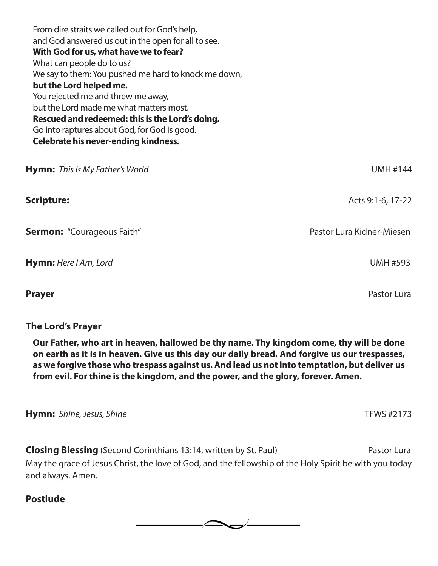| From dire straits we called out for God's help,                                               |                           |
|-----------------------------------------------------------------------------------------------|---------------------------|
| and God answered us out in the open for all to see.<br>With God for us, what have we to fear? |                           |
| What can people do to us?                                                                     |                           |
| We say to them: You pushed me hard to knock me down,                                          |                           |
|                                                                                               |                           |
| but the Lord helped me.                                                                       |                           |
| You rejected me and threw me away,                                                            |                           |
| but the Lord made me what matters most.                                                       |                           |
| Rescued and redeemed: this is the Lord's doing.                                               |                           |
| Go into raptures about God, for God is good.                                                  |                           |
| Celebrate his never-ending kindness.                                                          |                           |
|                                                                                               |                           |
| <b>Hymn:</b> This Is My Father's World                                                        | <b>UMH #144</b>           |
| <b>Scripture:</b>                                                                             | Acts 9:1-6, 17-22         |
|                                                                                               |                           |
| <b>Sermon:</b> "Courageous Faith"                                                             | Pastor Lura Kidner-Miesen |
|                                                                                               |                           |
| Hymn: Here I Am, Lord                                                                         | <b>UMH #593</b>           |
|                                                                                               |                           |
|                                                                                               |                           |
|                                                                                               |                           |

#### **The Lord's Prayer**

**Our Father, who art in heaven, hallowed be thy name. Thy kingdom come, thy will be done on earth as it is in heaven. Give us this day our daily bread. And forgive us our trespasses, as we forgive those who trespass against us. And lead us not into temptation, but deliver us from evil. For thine is the kingdom, and the power, and the glory, forever. Amen.**

**Prayer Prayer Prayer Prayer Pastor Lura** 

**Hymn:** *Shine, Jesus, Shine* **THE 2008 Hymn:** *Shine, Jesus, Shine* **THE 2008 THE 2008 THE 2173** 

**Closing Blessing** (Second Corinthians 13:14, written by St. Paul) Pastor Lura May the grace of Jesus Christ, the love of God, and the fellowship of the Holy Spirit be with you today and always. Amen.

#### **Postlude**